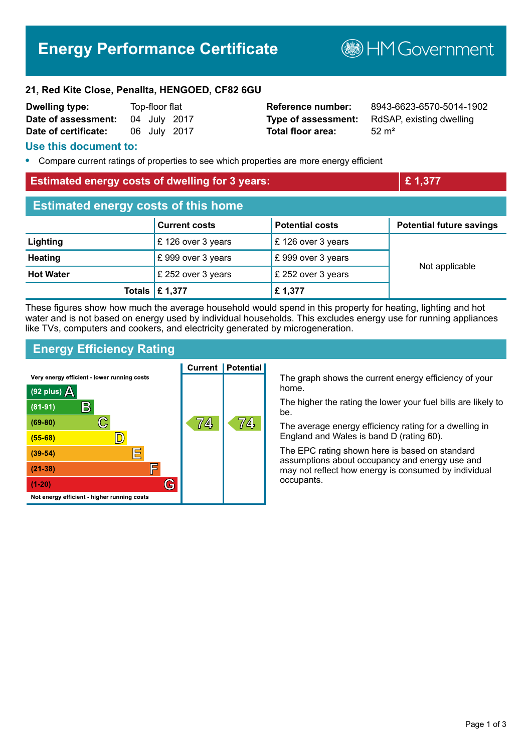# **Energy Performance Certificate**

**B**HMGovernment

#### **21, Red Kite Close, Penallta, HENGOED, CF82 6GU**

| <b>Dwelling type:</b> | Top-floor flat |              |
|-----------------------|----------------|--------------|
| Date of assessment:   |                | 04 July 2017 |
| Date of certificate:  |                | 06 July 2017 |

**Total floor area:** 52 m<sup>2</sup>

**Reference number:** 8943-6623-6570-5014-1902 **Type of assessment:** RdSAP, existing dwelling

#### **Use this document to:**

**•** Compare current ratings of properties to see which properties are more energy efficient

#### **Estimated energy costs of dwelling for 3 years: Example 2 and 2 and 2 and 2 and 2 and 2 and 2 and 2 and 2 and 2 and 2 and 2 and 2 and 2 and 2 and 2 and 2 and 2 and 2 and 2 and 2 and 2 and 2 and 2 and 2 and 2 and 2 and 2**

| <b>Estimated energy costs of this home</b> |                           |                        |                                 |  |
|--------------------------------------------|---------------------------|------------------------|---------------------------------|--|
|                                            | <b>Current costs</b>      | <b>Potential costs</b> | <b>Potential future savings</b> |  |
| Lighting                                   | £126 over 3 years         | £126 over 3 years      |                                 |  |
| <b>Heating</b>                             | £999 over 3 years         | £999 over 3 years      |                                 |  |
| <b>Hot Water</b>                           | £ 252 over 3 years        | £ 252 over 3 years     | Not applicable                  |  |
|                                            | Totals $\mathsf{E}$ 1,377 | £1,377                 |                                 |  |

These figures show how much the average household would spend in this property for heating, lighting and hot water and is not based on energy used by individual households. This excludes energy use for running appliances like TVs, computers and cookers, and electricity generated by microgeneration.

## **Energy Efficiency Rating**



The graph shows the current energy efficiency of your home.

The higher the rating the lower your fuel bills are likely to be.

The average energy efficiency rating for a dwelling in England and Wales is band D (rating 60).

The EPC rating shown here is based on standard assumptions about occupancy and energy use and may not reflect how energy is consumed by individual occupants.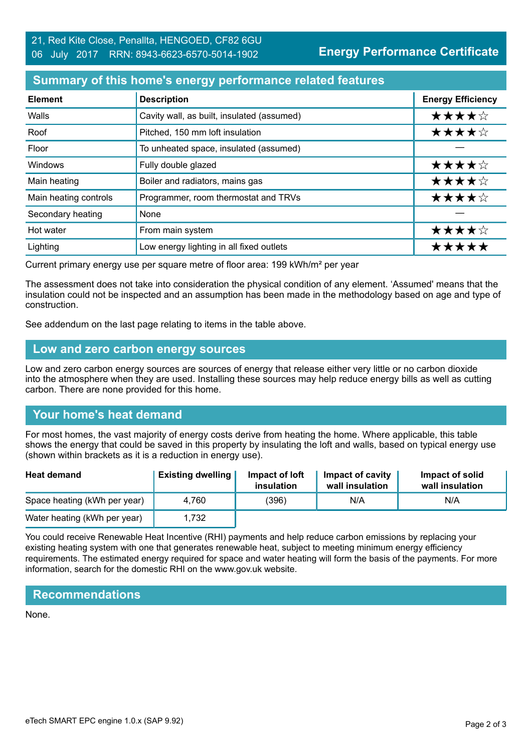## **Summary of this home's energy performance related features**

| <b>Element</b>        | <b>Description</b>                         | <b>Energy Efficiency</b> |
|-----------------------|--------------------------------------------|--------------------------|
| Walls                 | Cavity wall, as built, insulated (assumed) | ★★★★☆                    |
| Roof                  | Pitched, 150 mm loft insulation            | ★★★★☆                    |
| Floor                 | To unheated space, insulated (assumed)     |                          |
| Windows               | Fully double glazed                        | ★★★★☆                    |
| Main heating          | Boiler and radiators, mains gas            | ★★★★☆                    |
| Main heating controls | Programmer, room thermostat and TRVs       | ★★★★☆                    |
| Secondary heating     | None                                       |                          |
| Hot water             | From main system                           | ★★★★☆                    |
| Lighting              | Low energy lighting in all fixed outlets   | *****                    |

Current primary energy use per square metre of floor area: 199 kWh/m² per year

The assessment does not take into consideration the physical condition of any element. 'Assumed' means that the insulation could not be inspected and an assumption has been made in the methodology based on age and type of construction.

See addendum on the last page relating to items in the table above.

### **Low and zero carbon energy sources**

Low and zero carbon energy sources are sources of energy that release either very little or no carbon dioxide into the atmosphere when they are used. Installing these sources may help reduce energy bills as well as cutting carbon. There are none provided for this home.

# **Your home's heat demand**

For most homes, the vast majority of energy costs derive from heating the home. Where applicable, this table shows the energy that could be saved in this property by insulating the loft and walls, based on typical energy use (shown within brackets as it is a reduction in energy use).

| <b>Heat demand</b>           | <b>Existing dwelling</b> | Impact of loft<br>insulation | Impact of cavity<br>wall insulation | Impact of solid<br>wall insulation |
|------------------------------|--------------------------|------------------------------|-------------------------------------|------------------------------------|
| Space heating (kWh per year) | 4.760                    | (396)                        | N/A                                 | N/A                                |
| Water heating (kWh per year) | 1,732                    |                              |                                     |                                    |

You could receive Renewable Heat Incentive (RHI) payments and help reduce carbon emissions by replacing your existing heating system with one that generates renewable heat, subject to meeting minimum energy efficiency requirements. The estimated energy required for space and water heating will form the basis of the payments. For more information, search for the domestic RHI on the www.gov.uk website.

## **Recommendations**

None.